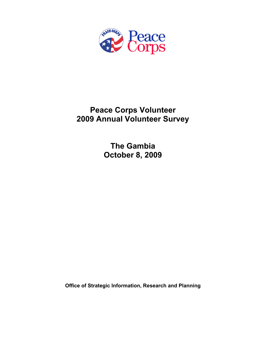

# **Peace Corps Volunteer 2009 Annual Volunteer Survey**

**The Gambia October 8, 2009** 

**Office of Strategic Information, Research and Planning**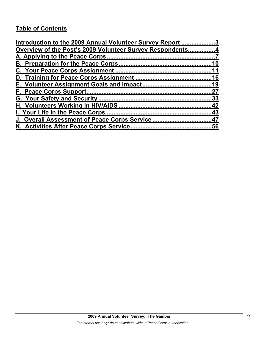# **Table of Contents**

| Introduction to the 2009 Annual Volunteer Survey Report 3 |     |
|-----------------------------------------------------------|-----|
| Overview of the Post's 2009 Volunteer Survey Respondents4 |     |
|                                                           |     |
|                                                           | 10  |
|                                                           |     |
|                                                           |     |
|                                                           |     |
|                                                           | .27 |
|                                                           |     |
|                                                           |     |
|                                                           |     |
| J. Overall Assessment of Peace Corps Service47            |     |
|                                                           |     |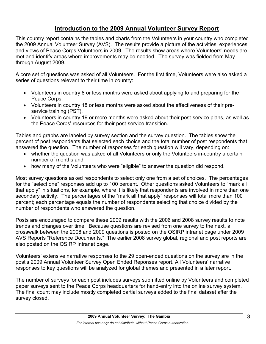# **Introduction to the 2009 Annual Volunteer Survey Report**

This country report contains the tables and charts from the Volunteers in your country who completed the 2009 Annual Volunteer Survey (AVS). The results provide a picture of the activities, experiences and views of Peace Corps Volunteers in 2009. The results show areas where Volunteers' needs are met and identify areas where improvements may be needed. The survey was fielded from May through August 2009.

A core set of questions was asked of all Volunteers. For the first time, Volunteers were also asked a series of questions relevant to their time in country:

- Volunteers in country 8 or less months were asked about applying to and preparing for the Peace Corps.
- Volunteers in country 18 or less months were asked about the effectiveness of their preservice training (PST).
- Volunteers in country 19 or more months were asked about their post-service plans, as well as the Peace Corps' resources for their post-service transition.

Tables and graphs are labeled by survey section and the survey question. The tables show the percent of post respondents that selected each choice and the total number of post respondents that answered the question. The number of responses for each question will vary, depending on:

- whether the question was asked of all Volunteers or only the Volunteers in-country a certain number of months and
- how many of the Volunteers who were "eligible" to answer the question did respond.

Most survey questions asked respondents to select only one from a set of choices. The percentages for the "select one" responses add up to 100 percent. Other questions asked Volunteers to "mark all that apply" in situations, for example, where it is likely that respondents are involved in more than one secondary activity. The percentages of the "mark all that apply" responses will total more than 100 percent; each percentage equals the number of respondents selecting that choice divided by the number of respondents who answered the question.

Posts are encouraged to compare these 2009 results with the 2006 and 2008 survey results to note trends and changes over time. Because questions are revised from one survey to the next, a crosswalk between the 2008 and 2009 questions is posted on the OSIRP intranet page under 2009 AVS Reports "Reference Documents." The earlier 2008 survey global, regional and post reports are also posted on the OSIRP Intranet page.

Volunteers' extensive narrative responses to the 29 open-ended questions on the survey are in the post's 2009 Annual Volunteer Survey Open Ended Reponses report. All Volunteers' narrative responses to key questions will be analyzed for global themes and presented in a later report.

The number of surveys for each post includes surveys submitted online by Volunteers and completed paper surveys sent to the Peace Corps headquarters for hand-entry into the online survey system. The final count may include mostly completed partial surveys added to the final dataset after the survey closed.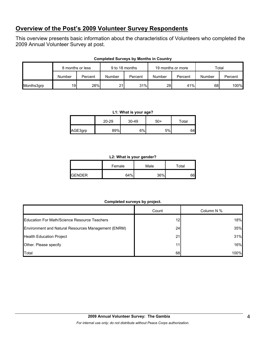# **Overview of the Post's 2009 Volunteer Survey Respondents**

This overview presents basic information about the characteristics of Volunteers who completed the 2009 Annual Volunteer Survey at post.

|            | 8 months or less |         | 9 to 18 months |         | 19 months or more |         | Total  |         |
|------------|------------------|---------|----------------|---------|-------------------|---------|--------|---------|
|            | Number           | Percent | Number         | Percent | Number            | Percent | Number | Percent |
| Months3grp | 19               | 28%     | 21             | 31%     | 28                | 41%     | 68     | 100%    |

#### **Completed Surveys by Months in Country**

#### **L1: What is your age?**

|         | $20 - 29$ | $30 - 49$ | $50+$ | Total |
|---------|-----------|-----------|-------|-------|
| AGE3grp | 89%       | 6%l       | 5%    | 64    |

#### **L2: What is your gender?**

|               | Female | Male | Total |
|---------------|--------|------|-------|
| <b>GENDER</b> | 64%    | 36%  | 66    |

## **Completed surveys by project.**

|                                                     | Count           | Column N % |
|-----------------------------------------------------|-----------------|------------|
| <b>Education For Math/Science Resource Teachers</b> | 12 <sub>1</sub> | 18%        |
| Environment and Natural Resources Management (ENRM) | 24 <sub>1</sub> | 35%        |
| <b>Health Education Project</b>                     | 21              | 31%        |
| Other. Please specify                               |                 | 16%        |
| Total                                               | 68              | 100%       |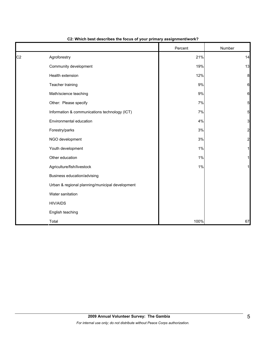|                |                                                 | Percent | Number         |
|----------------|-------------------------------------------------|---------|----------------|
| C <sub>2</sub> | Agroforestry                                    | 21%     | 14             |
|                | Community development                           | 19%     | 13             |
|                | Health extension                                | 12%     | 8              |
|                | Teacher training                                | 9%      | 6              |
|                | Math/science teaching                           | 9%      | 6              |
|                | Other: Please specify                           | 7%      | 5              |
|                | Information & communications technology (ICT)   | 7%      | 5              |
|                | Environmental education                         | 4%      | 3              |
|                | Forestry/parks                                  | 3%      | $\overline{c}$ |
|                | NGO development                                 | $3%$    | $\overline{a}$ |
|                | Youth development                               | 1%      |                |
|                | Other education                                 | 1%      |                |
|                | Agriculture/fish/livestock                      | 1%      |                |
|                | Business education/advising                     |         |                |
|                | Urban & regional planning/municipal development |         |                |
|                | Water sanitation                                |         |                |
|                | <b>HIV/AIDS</b>                                 |         |                |
|                | English teaching                                |         |                |
|                | Total                                           | 100%    | 67             |

#### **C2: Which best describes the focus of your primary assignment/work?**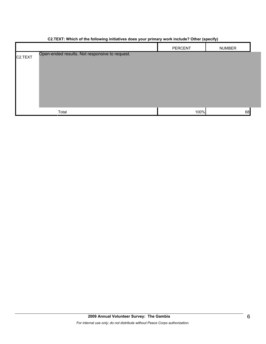|                      |                                                | PERCENT | <b>NUMBER</b> |
|----------------------|------------------------------------------------|---------|---------------|
| C <sub>2</sub> .TEXT | Open-ended results. Not responsive to request. |         |               |
|                      | Total                                          | 100%    | 68            |

#### **C2.TEXT: Which of the following initiatives does your primary work include? Other (specify)**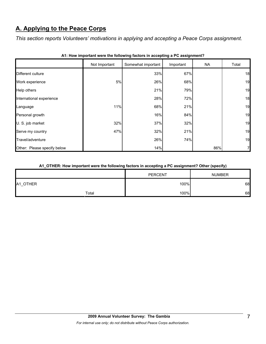# **A. Applying to the Peace Corps**

*This section reports Volunteers' motivations in applying and accepting a Peace Corps assignment.* 

|                             | Not Important | Somewhat important | Important | <b>NA</b> | Total |
|-----------------------------|---------------|--------------------|-----------|-----------|-------|
| Different culture           |               | 33%                | 67%       |           | 18    |
| Work experience             | 5%            | 26%                | 68%       |           | 19    |
| Help others                 |               | 21%                | 79%       |           | 19    |
| International experience    |               | 28%                | 72%       |           | 18    |
| Language                    | 11%           | 68%                | 21%       |           | 19    |
| Personal growth             |               | 16%                | 84%       |           | 19    |
| U. S. job market            | 32%           | 37%                | 32%       |           | 19    |
| Serve my country            | 47%           | 32%                | 21%       |           | 19    |
| Travel/adventure            |               | 26%                | 74%       |           | 19    |
| Other: Please specify below |               | 14%                |           | 86%       | 7     |

|  |  | A1: How important were the following factors in accepting a PC assignment? |  |  |  |
|--|--|----------------------------------------------------------------------------|--|--|--|
|--|--|----------------------------------------------------------------------------|--|--|--|

# **A1\_OTHER: How important were the following factors in accepting a PC assignment? Other (specify)**

|                                      |       | <b>PERCENT</b> | <b>NUMBER</b> |
|--------------------------------------|-------|----------------|---------------|
| A1 OTHER<br>$\overline{\phantom{0}}$ |       | 100%           | 68            |
|                                      | Total | 100%           | 68            |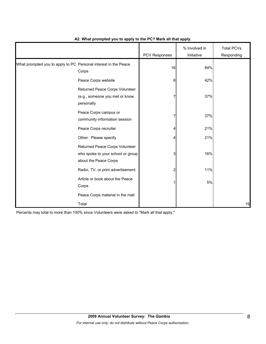|                                                                 |                                                                                              | PCV Responses | % Involved in<br>Initiative | <b>Total PCVs</b><br>Responding |
|-----------------------------------------------------------------|----------------------------------------------------------------------------------------------|---------------|-----------------------------|---------------------------------|
| What prompted you to apply to PC Personal interest in the Peace | Corps                                                                                        | 16            | 84%                         |                                 |
|                                                                 | Peace Corps website                                                                          | 8             | 42%                         |                                 |
|                                                                 | Returned Peace Corps Volunteer<br>(e.g., someone you met or know<br>personally               | 7             | 37%                         |                                 |
|                                                                 | Peace Corps campus or<br>community information session                                       | 7             | 37%                         |                                 |
|                                                                 | Peace Corps recruiter                                                                        | 4             | 21%                         |                                 |
|                                                                 | Other: Please specify                                                                        | 4             | 21%                         |                                 |
|                                                                 | Returned Peace Corps Volunteer<br>who spoke to your school or group<br>about the Peace Corps | 3             | 16%                         |                                 |
|                                                                 | Radio, TV, or print advertisement                                                            | 2             | 11%                         |                                 |
|                                                                 | Article or book about the Peace<br>Corps                                                     |               | 5%                          |                                 |
|                                                                 | Peace Corps material in the mail                                                             |               |                             |                                 |
|                                                                 | Total                                                                                        |               |                             | 19                              |

## **A2. What prompted you to apply to the PC? Mark all that apply.**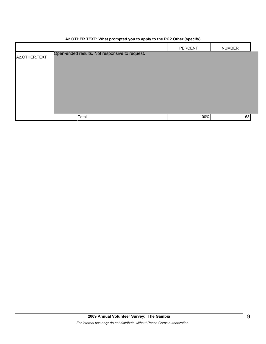|                                                                 | PERCENT | <b>NUMBER</b> |
|-----------------------------------------------------------------|---------|---------------|
| Open-ended results. Not responsive to request.<br>A2.OTHER.TEXT |         |               |
| Total                                                           | 100%    | 68            |

# **A2.OTHER.TEXT: What prompted you to apply to the PC? Other (specify)**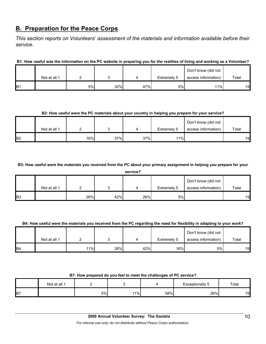# **B. Preparation for the Peace Corps**

*This section reports on Volunteers' assessment of the materials and information available before their service.* 

**B1: How useful was the information on the PC website in preparing you for the realities of living and working as a Volunteer?**

|                 |              |    |     |     | Don't know (did not |                     |       |
|-----------------|--------------|----|-----|-----|---------------------|---------------------|-------|
|                 | Not at all 1 |    |     |     | Extremely 5         | access information) | Total |
| IB <sub>1</sub> |              | 5% | 32% | 47% | 5%                  | 11%                 | 19    |

## **B2: How useful were the PC materials about your country in helping you prepare for your service?**

|                |              |     |     |     |             | Don't know (did not |       |
|----------------|--------------|-----|-----|-----|-------------|---------------------|-------|
|                | Not at all 1 |     |     |     | Extremely 5 | access information) | Total |
| B <sub>2</sub> |              | 16% | 37% | 37% | 11%         |                     | 19    |

**B3: How useful were the materials you received from the PC about your primary assignment in helping you prepare for your** 

|                | service?     |     |     |     |             |                     |       |  |  |  |  |
|----------------|--------------|-----|-----|-----|-------------|---------------------|-------|--|--|--|--|
|                |              |     |     |     |             | Don't know (did not |       |  |  |  |  |
|                | Not at all 1 |     |     | ↵   | Extremely 5 | access information) | Total |  |  |  |  |
| B <sub>3</sub> |              | 26% | 42% | 26% | 5%          |                     | 19    |  |  |  |  |

## **B4: How useful were the materials you received from the PC regarding the need for flexibility in adapting to your work?**

|                |              |     |     |     |             | Don't know (did not |       |
|----------------|--------------|-----|-----|-----|-------------|---------------------|-------|
|                | Not at all 1 |     |     |     | Extremely 5 | access information) | Total |
| B <sub>4</sub> |              | 11% | 26% | 42% | 16%         | 5%                  | 19    |

### **B7: How prepared do you feel to meet the challenges of PC service?**

|            | Not at all 1 |    |       |     | Exceptionally<br>ື | Total |
|------------|--------------|----|-------|-----|--------------------|-------|
| <b>B</b> 7 |              | 5% | $1\%$ | 58% | 26%                | 19    |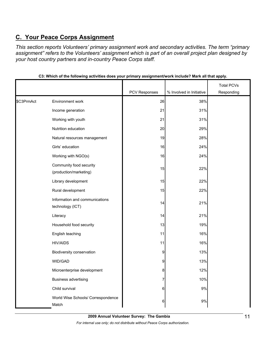# **C. Your Peace Corps Assignment**

*This section reports Volunteers' primary assignment work and secondary activities. The term "primary assignment" refers to the Volunteers' assignment which is part of an overall project plan designed by your host country partners and in-country Peace Corps staff.* 

|            |                                                    |               |                          | <b>Total PCVs</b> |
|------------|----------------------------------------------------|---------------|--------------------------|-------------------|
|            |                                                    | PCV Responses | % Involved in Initiative | Responding        |
| \$C3PrmAct | <b>Environment work</b>                            | 26            | 38%                      |                   |
|            | Income generation                                  | 21            | 31%                      |                   |
|            | Working with youth                                 | 21            | 31%                      |                   |
|            | Nutrition education                                | 20            | 29%                      |                   |
|            | Natural resources management                       | 19            | 28%                      |                   |
|            | Girls' education                                   | 16            | 24%                      |                   |
|            | Working with NGO(s)                                | 16            | 24%                      |                   |
|            | Community food security<br>(production/marketing)  | 15            | 22%                      |                   |
|            | Library development                                | 15            | 22%                      |                   |
|            | Rural development                                  | 15            | 22%                      |                   |
|            | Information and communications<br>technology (ICT) | 14            | 21%                      |                   |
|            | Literacy                                           | 14            | 21%                      |                   |
|            | Household food security                            | 13            | 19%                      |                   |
|            | English teaching                                   | 11            | 16%                      |                   |
|            | <b>HIV/AIDS</b>                                    | 11            | 16%                      |                   |
|            | Biodiversity conservation                          | 9             | 13%                      |                   |
|            | WID/GAD                                            | 9             | 13%                      |                   |
|            | Microenterprise development                        | 8             | 12%                      |                   |
|            | <b>Business advertising</b>                        | 7             | 10%                      |                   |
|            | Child survival                                     | 6             | $9\%$                    |                   |
|            | World Wise Schools/ Correspondence<br>Match        | 6             | $9\%$                    |                   |

**C3: Which of the following activities does your primary assignment/work include? Mark all that apply.**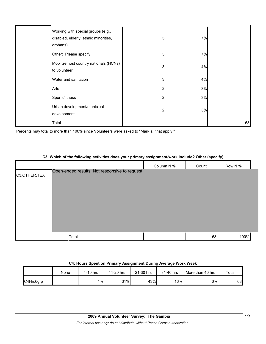| Working with special groups (e.g.,<br>disabled, elderly, ethnic minorities,<br>orphans) | 5              | 7% |    |
|-----------------------------------------------------------------------------------------|----------------|----|----|
| Other: Please specify                                                                   | 5              | 7% |    |
| Mobilize host country nationals (HCNs)<br>to volunteer                                  | 3              | 4% |    |
| Water and sanitation                                                                    | 3 <sub>l</sub> | 4% |    |
| Arts                                                                                    | 2              | 3% |    |
| Sports/fitness                                                                          | 2              | 3% |    |
| Urban development/municipal<br>development                                              | 2              | 3% |    |
| Total                                                                                   |                |    | 68 |

Percents may total to more than 100% since Volunteers were asked to "Mark all that apply."

#### **C3: Which of the following activities does your primary assignment/work include? Other (specify)**

|               |                                                | Column N % | Count | Row N % |
|---------------|------------------------------------------------|------------|-------|---------|
| C3.OTHER.TEXT | Open-ended results. Not responsive to request. |            |       |         |
|               |                                                |            |       |         |
|               |                                                |            |       |         |
|               |                                                |            |       |         |
|               |                                                |            |       |         |
|               |                                                |            |       |         |
|               |                                                |            |       |         |
|               | Total                                          |            | 68    | 100%    |

#### **C4: Hours Spent on Primary Assignment During Average Work Week**

|           | None | 1-10 hrs | 11-20 hrs | 21-30 hrs | 31-40 hrs | More than 40 hrs | Total |
|-----------|------|----------|-----------|-----------|-----------|------------------|-------|
| C4Hrs6grp |      | 4%       | 31%       | 43%       | 16%       | 6%               | 68    |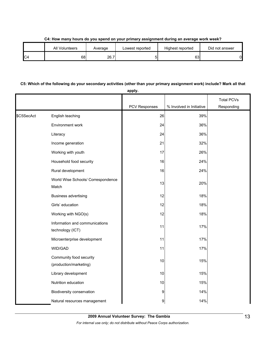|     | All Volunteers | Average | Lowest reported | Highest reported | Did not answer |
|-----|----------------|---------|-----------------|------------------|----------------|
| IC4 | 68             | 26.7    |                 | rn<br>υJ         | 0              |

# **C5: Which of the following do your secondary activities (other than your primary assignment work) include? Mark all that**

|            |                                                    | apply.               |                          |                   |
|------------|----------------------------------------------------|----------------------|--------------------------|-------------------|
|            |                                                    |                      |                          | <b>Total PCVs</b> |
|            |                                                    | <b>PCV Responses</b> | % Involved in Initiative | Responding        |
| \$C5SecAct | English teaching                                   | 26                   | 39%                      |                   |
|            | Environment work                                   | 24                   | 36%                      |                   |
|            | Literacy                                           | 24                   | 36%                      |                   |
|            | Income generation                                  | 21                   | 32%                      |                   |
|            | Working with youth                                 | 17                   | 26%                      |                   |
|            | Household food security                            | 16                   | 24%                      |                   |
|            | Rural development                                  | 16                   | 24%                      |                   |
|            | World Wise Schools/ Correspondence<br>Match        | 13                   | 20%                      |                   |
|            | <b>Business advertising</b>                        | 12                   | 18%                      |                   |
|            | Girls' education                                   | 12                   | 18%                      |                   |
|            | Working with NGO(s)                                | 12                   | 18%                      |                   |
|            | Information and communications<br>technology (ICT) | 11                   | 17%                      |                   |
|            | Microenterprise development                        | 11                   | 17%                      |                   |
|            | WID/GAD                                            | 11                   | 17%                      |                   |
|            | Community food security<br>(production/marketing)  | 10                   | 15%                      |                   |
|            | Library development                                | 10                   | 15%                      |                   |
|            | Nutrition education                                | 10                   | 15%                      |                   |
|            | Biodiversity conservation                          | 9                    | 14%                      |                   |
|            | Natural resources management                       | 9                    | 14%                      |                   |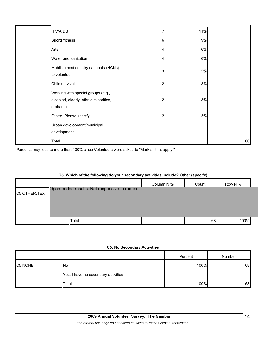| <b>HIV/AIDS</b>                                                                         |              | 11%   |    |
|-----------------------------------------------------------------------------------------|--------------|-------|----|
| Sports/fitness                                                                          | 6            | 9%    |    |
| Arts                                                                                    |              | $6\%$ |    |
| Water and sanitation                                                                    |              | 6%    |    |
| Mobilize host country nationals (HCNs)<br>to volunteer                                  | $\mathbf{3}$ | $5%$  |    |
| Child survival                                                                          |              | 3%    |    |
| Working with special groups (e.g.,<br>disabled, elderly, ethnic minorities,<br>orphans) |              | 3%    |    |
| Other: Please specify                                                                   |              | 3%    |    |
| Urban development/municipal<br>development                                              |              |       |    |
| Total                                                                                   |              |       | 66 |

Percents may total to more than 100% since Volunteers were asked to "Mark all that apply."

| C5: Which of the following do your secondary activities include? Other (specify) |            |       |         |  |  |  |
|----------------------------------------------------------------------------------|------------|-------|---------|--|--|--|
|                                                                                  | Column N % | Count | Row N % |  |  |  |
| Open-ended results. Not responsive to request.<br>C5.OTHER.TEXT                  |            |       |         |  |  |  |
| Total                                                                            |            | 68    | 100%    |  |  |  |

## **C5: Which of the following do your secondary activities include? Other (specify)**

#### **C5: No Secondary Activities**

|         |                                     | Percent | Number |
|---------|-------------------------------------|---------|--------|
| C5.NONE | No                                  | 100%    | 68     |
|         | Yes, I have no secondary activities |         |        |
|         | Total                               | 100%    | 68     |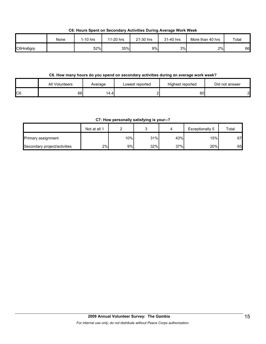**C6: Hours Spent on Secondary Activities During Average Work Week**

|           | None | I-10 hrs | 11-20 hrs | 21-30 hrs | 31-40 hrs | More than 40 hrs | Total |
|-----------|------|----------|-----------|-----------|-----------|------------------|-------|
| C6Hrs6grp |      | 52%      | 35%       | 9%        | 3%        | 2%               | 66    |

## **C6. How many hours do you spend on secondary activities during an average work week?**

|                | All Volunteers | Average           | Lowest reported | Highest reported | Did not answer |
|----------------|----------------|-------------------|-----------------|------------------|----------------|
| C <sub>6</sub> | 68             | 14.4 <sub>1</sub> |                 | 60               | പ              |

## **C7: How personally satisfying is your--?**

|                              | Not at all 1 |     |     |     | Exceptionally 5 | Total |
|------------------------------|--------------|-----|-----|-----|-----------------|-------|
| Primary assignment           |              | 10% | 31% | 43% | 15%             | 67    |
| Secondary project/activities | 2%           | 9%I | 32% | 37% | 20%             | 65    |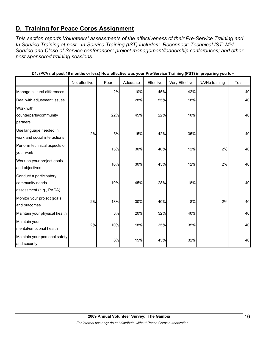# **D. Training for Peace Corps Assignment**

*This section reports Volunteers' assessments of the effectiveness of their Pre-Service Training and In-Service Training at post. In-Service Training (IST) includes: Reconnect; Technical IST; Mid-Service and Close of Service conferences; project management/leadership conferences; and other post-sponsored training sessions.* 

|                                                                       | Not effective | Poor | Adequate | Effective | ັ່<br>Very Effective | .<br>ິ<br>NA/No training | Total |
|-----------------------------------------------------------------------|---------------|------|----------|-----------|----------------------|--------------------------|-------|
| Manage cultural differences                                           |               | 2%   | 10%      | 45%       | 42%                  |                          | 40    |
| Deal with adjustment issues                                           |               |      | 28%      | 55%       | 18%                  |                          | 40    |
|                                                                       |               |      |          |           |                      |                          |       |
| Work with<br>counterparts/community                                   |               | 22%  | 45%      | 22%       | 10%                  |                          | 40    |
| partners                                                              |               |      |          |           |                      |                          |       |
| Use language needed in<br>work and social interactions                | 2%            | 5%   | 15%      | 42%       | 35%                  |                          | 40    |
| Perform technical aspects of<br>your work                             |               | 15%  | 30%      | 40%       | 12%                  | 2%                       | 40    |
| Work on your project goals<br>and objectives                          |               | 10%  | 30%      | 45%       | 12%                  | 2%                       | 40    |
| Conduct a participatory<br>community needs<br>assessment (e.g., PACA) |               | 10%  | 45%      | 28%       | 18%                  |                          | 40    |
| Monitor your project goals<br>and outcomes                            | 2%            | 18%  | 30%      | 40%       | 8%                   | 2%                       | 40    |
| Maintain your physical health                                         |               | 8%   | 20%      | 32%       | 40%                  |                          | 40    |
| Maintain your<br>mental/emotional health                              | 2%            | 10%  | 18%      | 35%       | 35%                  |                          | 40    |
| Maintain your personal safety<br>and security                         |               | 8%   | 15%      | 45%       | 32%                  |                          | 40    |

| D1: (PCVs at post 18 months or less) How effective was your Pre-Service Training (PST) in preparing you to-- |  |  |
|--------------------------------------------------------------------------------------------------------------|--|--|
|--------------------------------------------------------------------------------------------------------------|--|--|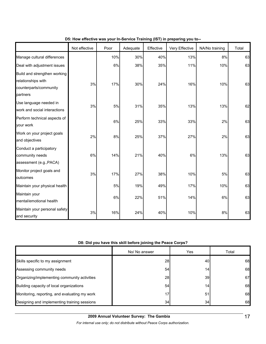|                                                                                          | Not effective | Poor | Adequate | Effective | Very Effective | NA/No training | Total |
|------------------------------------------------------------------------------------------|---------------|------|----------|-----------|----------------|----------------|-------|
| Manage cultural differences                                                              |               | 10%  | 30%      | 40%       | 13%            | 8%             | 63    |
| Deal with adjustment issues                                                              |               | 6%   | 38%      | 35%       | 11%            | 10%            | 63    |
| Build and strengthen working<br>relationships with<br>counterparts/community<br>partners | 3%            | 17%  | 30%      | 24%       | 16%            | 10%            | 63    |
| Use language needed in<br>work and social interactions                                   | 3%            | 5%   | 31%      | 35%       | 13%            | 13%            | 62    |
| Perform technical aspects of<br>your work                                                |               | 6%   | 25%      | 33%       | 33%            | 2%             | 63    |
| Work on your project goals<br>and objectives                                             | 2%            | 8%   | 25%      | 37%       | 27%            | 2%             | 63    |
| Conduct a participatory<br>community needs<br>assessment (e.g., PACA)                    | 6%            | 14%  | 21%      | 40%       | 6%             | 13%            | 63    |
| Monitor project goals and<br>outcomes                                                    | 3%            | 17%  | 27%      | 38%       | 10%            | 5%             | 63    |
| Maintain your physical health                                                            |               | 5%   | 19%      | 49%       | 17%            | 10%            | 63    |
| Maintain your<br>mental/emotional health                                                 |               | 6%   | 22%      | 51%       | 14%            | 6%             | 63    |
| Maintain your personal safety<br>and security                                            | 3%            | 16%  | 24%      | 40%       | 10%            | 8%             | 63    |

## **D5: How effective was your In-Service Training (IST) in preparing you to--**

# **D8: Did you have this skill before joining the Peace Corps?**

|                                               | No/ No answer | Yes             | Total |
|-----------------------------------------------|---------------|-----------------|-------|
| Skills specific to my assignment              | 28            | 40I             | 68    |
| Assessing community needs                     | 54            | 14 <sub>1</sub> | 68    |
| Organizing/implementing community activities  | 28            | 39I             | 67    |
| Building capacity of local organizations      | 54            | 14 <sub>1</sub> | 68    |
| Monitoring, reporting, and evaluating my work | 17            | 51              | 68    |
| Designing and implementing training sessions  | 34            | 34              | 68    |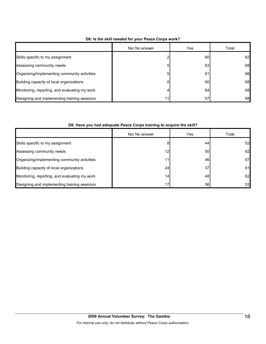|                                               | No/ No answer | Yes | Total |
|-----------------------------------------------|---------------|-----|-------|
| Skills specific to my assignment              |               | 60  | 62    |
| Assessing community needs                     | 5             | 63  | 68    |
| Organizing/implementing community activities  | 5             | 61  | 66    |
| Building capacity of local organizations      | 8             | 60  | 68    |
| Monitoring, reporting, and evaluating my work | 4             | 64  | 68    |
| Designing and implementing training sessions  | 11            | 57  | 68    |

### **D8: Is the skill needed for your Peace Corps work?**

## **D8: Have you had adequate Peace Corps training to acquire the skill?**

|                                               | No/ No answer   | Yes | Total |
|-----------------------------------------------|-----------------|-----|-------|
| Skills specific to my assignment              | 8               | 44  | 52    |
| Assessing community needs                     | 12              | 50  | 62    |
| Organizing/implementing community activities  | 11              | 46  | 57    |
| Building capacity of local organizations      | 24              | 37  | 61    |
| Monitoring, reporting, and evaluating my work | 14.             | 48  | 62    |
| Designing and implementing training sessions  | 17 <sub>1</sub> | 36  | 53    |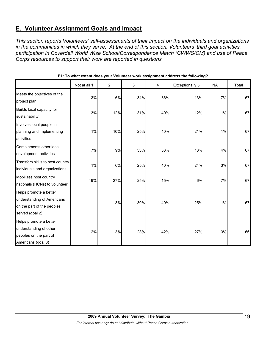# **E. Volunteer Assignment Goals and Impact**

*This section reports Volunteers' self-assessments of their impact on the individuals and organizations in the communities in which they serve. At the end of this section, Volunteers' third goal activities, participation in Coverdell World Wise School/Correspondence Match (CWWS/CM) and use of Peace Corps resources to support their work are reported in questions.* 

|                                                                                                       | Not at all 1 | $\overline{c}$ | 3   | 4   | <b>Exceptionally 5</b> | <b>NA</b> | Total |
|-------------------------------------------------------------------------------------------------------|--------------|----------------|-----|-----|------------------------|-----------|-------|
| Meets the objectives of the<br>project plan                                                           | 3%           | 6%             | 34% | 36% | 13%                    | 7%        | 67    |
| Builds local capacity for<br>sustainability                                                           | 3%           | 12%            | 31% | 40% | 12%                    | 1%        | 67    |
| Involves local people in<br>planning and implementing<br>activities                                   | 1%           | 10%            | 25% | 40% | 21%                    | 1%        | 67    |
| Complements other local<br>development activities                                                     | 7%           | 9%             | 33% | 33% | 13%                    | 4%        | 67    |
| Transfers skills to host country<br>individuals and organizations                                     | 1%           | 6%             | 25% | 40% | 24%                    | 3%        | 67    |
| Mobilizes host country<br>nationals (HCNs) to volunteer                                               | 19%          | 27%            | 25% | 15% | 6%                     | 7%        | 67    |
| Helps promote a better<br>understanding of Americans<br>on the part of the peoples<br>served (goal 2) |              | 3%             | 30% | 40% | 25%                    | 1%        | 67    |
| Helps promote a better<br>understanding of other<br>peoples on the part of<br>Americans (goal 3)      | 2%           | 3%             | 23% | 42% | 27%                    | 3%        | 66    |

**E1: To what extent does your Volunteer work assignment address the following?**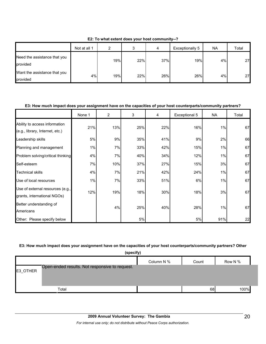|                                          | Not at all 1 | ົ   |     | $\Delta$ | Exceptionally 5 | <b>NA</b> | Total     |
|------------------------------------------|--------------|-----|-----|----------|-----------------|-----------|-----------|
| Need the assistance that you<br>provided |              | 19% | 22% | 37%      | 19%             | 4%        | <b>27</b> |
| Want the assistance that you<br>provided | 4%           | 19% | 22% | 26%      | 26%             | 4%        | <b>27</b> |

**E2: To what extent does your host community--?**

## **E3: How much impact does your assignment have on the capacities of your host counterparts/community partners?**

|                                                                  | None 1 | $\overline{2}$ | 3   | 4   | Exceptional 5 | <b>NA</b> | Total |
|------------------------------------------------------------------|--------|----------------|-----|-----|---------------|-----------|-------|
| Ability to access information<br>(e.g., library, Internet, etc.) | 21%    | 13%            | 25% | 22% | 16%           | 1%        | 67    |
| Leadership skills                                                | 5%     | 9%             | 35% | 41% | 9%            | 2%        | 66    |
| Planning and management                                          | 1%     | 7%             | 33% | 42% | 15%           | 1%        | 67    |
| Problem solving/critical thinking                                | 4%     | 7%             | 40% | 34% | 12%           | 1%        | 67    |
| Self-esteem                                                      | 7%     | 10%            | 37% | 27% | 15%           | 3%        | 67    |
| <b>Technical skills</b>                                          | 4%     | 7%             | 21% | 42% | 24%           | 1%        | 67    |
| Use of local resources                                           | 1%     | 7%             | 33% | 51% | 6%            | 1%        | 67    |
| Use of external resources (e.g.,<br>grants, international NGOs)  | 12%    | 19%            | 18% | 30% | 18%           | 3%        | 67    |
| Better understanding of<br>Americans                             |        | 4%             | 25% | 40% | 28%           | 1%        | 67    |
| Other: Please specify below                                      |        |                | 5%  |     | 5%            | 91%       | 22    |

#### **E3: How much impact does your assignment have on the capacities of your host counterparts/community partners? Other**

|          | (specify)                                      |            |       |         |
|----------|------------------------------------------------|------------|-------|---------|
|          |                                                | Column N % | Count | Row N % |
| E3_OTHER | Open-ended results. Not responsive to request. |            |       |         |
|          | Total                                          |            | 68    | 100%    |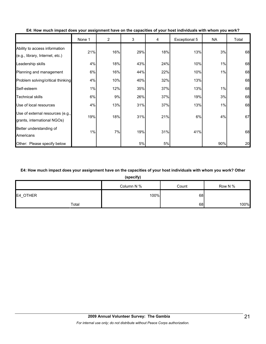|                                                                  | None 1 | $\overline{2}$ | 3   | 4   | Exceptional 5 | <b>NA</b> | Total |
|------------------------------------------------------------------|--------|----------------|-----|-----|---------------|-----------|-------|
| Ability to access information<br>(e.g., library, Internet, etc.) | 21%    | 16%            | 29% | 18% | 13%           | 3%        | 68    |
| Leadership skills                                                | 4%     | 18%            | 43% | 24% | 10%           | 1%        | 68    |
| Planning and management                                          | 6%     | 16%            | 44% | 22% | 10%           | 1%        | 68    |
| Problem solving/critical thinking                                | 4%     | 10%            | 40% | 32% | 13%           |           | 68    |
| Self-esteem                                                      | 1%     | 12%            | 35% | 37% | 13%           | 1%        | 68    |
| <b>Technical skills</b>                                          | 6%     | 9%             | 26% | 37% | 19%           | 3%        | 68    |
| Use of local resources                                           | 4%     | 13%            | 31% | 37% | 13%           | 1%        | 68    |
| Use of external resources (e.g.,<br>grants, international NGOs)  | 19%    | 18%            | 31% | 21% | 6%            | 4%        | 67    |
| Better understanding of<br>Americans                             | 1%     | 7%             | 19% | 31% | 41%           |           | 68    |
| Other: Please specify below                                      |        |                | 5%  | 5%  |               | 90%       | 20    |

**E4: How much impact does your assignment have on the capacities of your host individuals with whom you work?**

# **E4: How much impact does your assignment have on the capacities of your host individuals with whom you work? Other**

**(specify)**

| - -      |            |       |         |  |  |  |  |  |
|----------|------------|-------|---------|--|--|--|--|--|
|          | Column N % | Count | Row N % |  |  |  |  |  |
| E4_OTHER | 100%       | 68    |         |  |  |  |  |  |
| Total    |            | 68    | 100%    |  |  |  |  |  |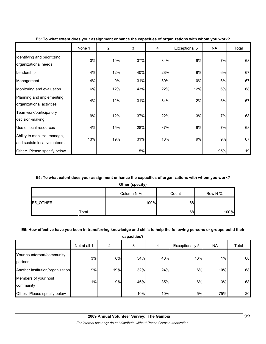|                                                              | None 1 | $\overline{2}$ | 3   | 4   | Exceptional 5 | <b>NA</b> | Total |
|--------------------------------------------------------------|--------|----------------|-----|-----|---------------|-----------|-------|
| Identifying and prioritizing<br>organizational needs         | 3%     | 10%            | 37% | 34% | 9%            | 7%        | 68    |
| Leadership                                                   | 4%     | 12%            | 40% | 28% | 9%            | 6%        | 67    |
| Management                                                   | 4%     | 9%             | 31% | 39% | 10%           | 6%        | 67    |
| Monitoring and evaluation                                    | 6%     | 12%            | 43% | 22% | 12%           | 6%        | 68    |
| Planning and implementing<br>organizational activities       | 4%     | 12%            | 31% | 34% | 12%           | 6%        | 67    |
| Teamwork/participatory<br>decision-making                    | 9%     | 12%            | 37% | 22% | 13%           | 7%        | 68    |
| Use of local resources                                       | 4%     | 15%            | 28% | 37% | 9%            | 7%        | 68    |
| Ability to mobilize, manage,<br>and sustain local volunteers | 13%    | 19%            | 31% | 18% | 9%            | 9%        | 67    |
| Other: Please specify below                                  |        |                | 5%  |     |               | 95%       | 19    |

#### **E5: To what extent does your assignment enhance the capacities of organizations with whom you work?**

# **E5: To what extent does your assignment enhance the capacities of organizations with whom you work?**

**Other (specify)**

|          | Column N % | Count | Row N % |
|----------|------------|-------|---------|
| E5_OTHER | 100%       | 68    |         |
| Total    |            | 68    | 100%    |

## **E6: How effective have you been in transferring knowledge and skills to help the following persons or groups build their**

**capacities?**

|                                       | Not at all 1 | 2   | 3   | 4   | Exceptionally 5 | <b>NA</b> | Total |
|---------------------------------------|--------------|-----|-----|-----|-----------------|-----------|-------|
| Your counterpart/community<br>partner | 3%           | 6%  | 34% | 40% | 16%             | 1%        | 68    |
| Another institution/organization      | 9%           | 19% | 32% | 24% | 6%              | 10%       | 68    |
| Members of your host<br>community     | $1\%$        | 9%  | 46% | 35% | 6%              | 3%        | 68    |
| Other: Please specify below           |              |     | 10% | 10% | 5%              | 75%       | 20    |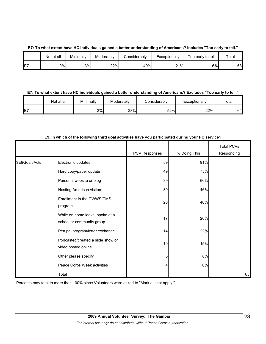|  |  |  |  |  | E7: To what extent have HC individuals gained a better understanding of Americans? Includes "Too early to tell." |  |
|--|--|--|--|--|------------------------------------------------------------------------------------------------------------------|--|
|--|--|--|--|--|------------------------------------------------------------------------------------------------------------------|--|

|    | Not at all | Minimally | Moderatelv | Considerably | Exceptionally | Too early to tell | $\tau$ otal |
|----|------------|-----------|------------|--------------|---------------|-------------------|-------------|
| E7 | 0%         | 3%        | 22%        | 49%          | 21%           | 6%                | 68          |

#### **E7: To what extent have HC individuals gained a better understanding of Americans? Excludes "Too early to tell."**

|    | Not at all | Minimally | Moderately | Considerablv | Exceptionally | Total |
|----|------------|-----------|------------|--------------|---------------|-------|
| E7 |            | 3%        | 23%        | 52%          | 22%           | 64    |

## **E9. In which of the following third goal activities have you participated during your PC service?**

|               |                                                              | PCV Responses | % Doing This | <b>Total PCVs</b><br>Responding |
|---------------|--------------------------------------------------------------|---------------|--------------|---------------------------------|
| \$E9Goal3Acts | Electronic updates                                           | 59            | 91%          |                                 |
|               |                                                              |               |              |                                 |
|               | Hard copy/paper update                                       | 49            | 75%          |                                 |
|               | Personal website or blog                                     | 39            | 60%          |                                 |
|               | <b>Hosting American visitors</b>                             | 30            | 46%          |                                 |
|               | Enrollment in the CWWS/CMS<br>program                        | 26            | 40%          |                                 |
|               | While on home leave, spoke at a<br>school or community group | 17            | 26%          |                                 |
|               | Pen pal program/letter exchange                              | 14            | 22%          |                                 |
|               | Podcasted/created a slide show or<br>video posted online     | 10            | 15%          |                                 |
|               | Other please specify                                         | 5             | 8%           |                                 |
|               | Peace Corps Week activities                                  | 4             | 6%           |                                 |
|               | Total                                                        |               |              | 65                              |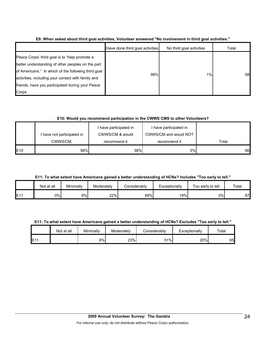|                                                                                                                                                                                                                                                                              | Have done third goal activities | No third goal activities | Total |
|------------------------------------------------------------------------------------------------------------------------------------------------------------------------------------------------------------------------------------------------------------------------------|---------------------------------|--------------------------|-------|
| Peace Corps' third goal is to "help promote a<br>better understanding of other peoples on the part<br>of Americans." In which of the following third goal<br>activities, including your contact with family and<br>friends, have you participated during your Peace<br>Corps | 99%                             | $1\%$                    | 68    |

**E9: When asked about third goal activities, Volunteer answered "No involvement in third goal activities."** 

## **E10: Would you recommend participation in the CWWS CMS to other Volunteers?**

|            | I have not participated in<br>CWWS/CM. | I have participated in<br>CWWS/CM & would<br>recommend it | I have participated in<br>CWWS/CM and would NOT<br>recommend it | Total |
|------------|----------------------------------------|-----------------------------------------------------------|-----------------------------------------------------------------|-------|
| <b>E10</b> | 58%                                    | 38%                                                       | 5%                                                              | 66    |

**E11: To what extent have Americans gained a better understanding of HCNs? Includes "Too early to tell."**

|     | Not at all | Minimally | Moderately | Considerably | Exceptionally | Too early to tell | Total |
|-----|------------|-----------|------------|--------------|---------------|-------------------|-------|
| E11 | 0%         | 6%        | 22%        | 49%          | 19%           | 3%                | 67    |

**E11: To what extent have Americans gained a better understanding of HCNs? Excludes "Too early to tell."**

|                 | Not at all | Minimally | Moderately | Considerablv | Exceptionally | $\tau$ otal |
|-----------------|------------|-----------|------------|--------------|---------------|-------------|
| E <sub>11</sub> |            | 6%        | 23%        | 51%          | 20%           | 65          |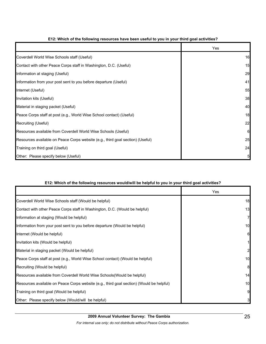|                                                                                | Yes |
|--------------------------------------------------------------------------------|-----|
| Coverdell World Wise Schools staff (Useful)                                    | 16  |
| Contact with other Peace Corps staff in Washington, D.C. (Useful)              | 15  |
| Information at staging (Useful)                                                | 29  |
| Information from your post sent to you before departure (Useful)               | 41  |
| Internet (Useful)                                                              | 55  |
| Invitation kits (Useful)                                                       | 38  |
| Material in staging packet (Useful)                                            | 40  |
| Peace Corps staff at post (e.g., World Wise School contact) (Useful)           | 18  |
| Recruiting (Useful)                                                            | 22  |
| Resources available from Coverdell World Wise Schools (Useful)                 | 6   |
| Resources available on Peace Corps website (e.g., third goal section) (Useful) | 25  |
| Training on third goal (Useful)                                                | 24  |
| Other: Please specify below (Useful)                                           | 5   |

## **E12: Which of the following resources have been useful to you in your third goal activities?**

## **E12: Which of the following resources would/will be helpful to you in your third goal activities?**

|                                                                                          | Yes            |
|------------------------------------------------------------------------------------------|----------------|
| Coverdell World Wise Schools staff (Would be helpful)                                    | 18             |
| Contact with other Peace Corps staff in Washington, D.C. (Would be helpful)              | 13             |
| Information at staging (Would be helpful)                                                | $\overline{7}$ |
| Information from your post sent to you before departure (Would be helpful)               | 10             |
| Internet (Would be helpful)                                                              | 6              |
| Invitation kits (Would be helpful)                                                       | $\mathbf{1}$   |
| Material in staging packet (Would be helpful)                                            | $\mathbf{2}$   |
| Peace Corps staff at post (e.g., World Wise School contact) (Would be helpful)           | 10             |
| Recruiting (Would be helpful)                                                            | 8              |
| Resources available from Coverdell World Wise Schools (Would be helpful)                 | 14             |
| Resources available on Peace Corps website (e.g., third goal section) (Would be helpful) | 10             |
| Training on third goal (Would be helpful)                                                | 9              |
| Other: Please specify below (Would/will be helpful)                                      | 3              |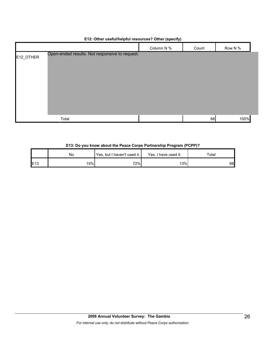|           |                                                | Column N % | Count | Row N % |  |
|-----------|------------------------------------------------|------------|-------|---------|--|
| E12_OTHER | Open-ended results. Not responsive to request. |            |       |         |  |
|           | Total                                          |            | 68    | 100%    |  |

## **E12: Other useful/helpful resources? Other (specify)**

#### **E13: Do you know about the Peace Corps Partnership Program (PCPP)?**

|                 | No  | Yes, but I haven't used it. | Yes, I have used it. | Total |  |
|-----------------|-----|-----------------------------|----------------------|-------|--|
| E <sub>13</sub> | 15% | 72%                         | 13%                  | 68    |  |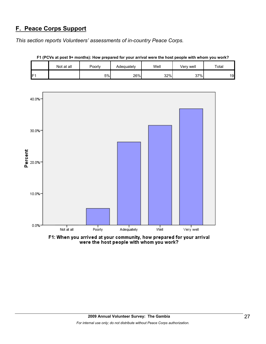# **F. Peace Corps Support**

*This section reports Volunteers' assessments of in-country Peace Corps.* 

|                 | Not at all | Poorly | Well<br>Adequately |     | Very well | Total |  |
|-----------------|------------|--------|--------------------|-----|-----------|-------|--|
| IF <sub>1</sub> |            | 5%     | 26%                | 32% | 37%       | 19    |  |





F1: When you arrived at your community, how prepared for your arrival<br>were the host people with whom you work?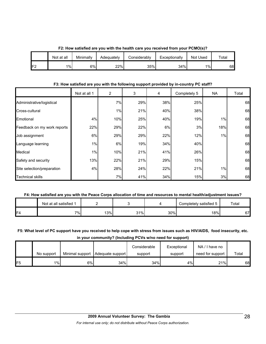|                 | Not at all | Minimally | Adequately | Considerablv | Exceptionally | Not Used | $\tau$ otal |  |
|-----------------|------------|-----------|------------|--------------|---------------|----------|-------------|--|
| 1F <sup>-</sup> | $1\%$      | 6%l       | 22%        | 35%          | 34%           | $1\%$    | 68          |  |

**F2: How satisfied are you with the health care you received from your PCMO(s)?**

### **F3: How satisfied are you with the following support provided by in-country PC staff?**

|                             | Not at all 1 | $\overline{2}$ | 3   | 4   | Completely 5 | <b>NA</b> | Total |
|-----------------------------|--------------|----------------|-----|-----|--------------|-----------|-------|
| Administrative/logistical   |              | 7%             | 29% | 38% | 25%          |           | 68    |
| Cross-cultural              |              | 1%             | 21% | 40% | 38%          |           | 68    |
| Emotional                   | 4%           | 10%            | 25% | 40% | 19%          | 1%        | 68    |
| Feedback on my work reports | 22%          | 29%            | 22% | 6%  | 3%           | 18%       | 68    |
| Job assignment              | 6%           | 29%            | 29% | 22% | 12%          | 1%        | 68    |
| Language learning           | $1\%$        | 6%             | 19% | 34% | 40%          |           | 68    |
| Medical                     | 1%           | 10%            | 21% | 41% | 26%          |           | 68    |
| Safety and security         | 13%          | 22%            | 21% | 29% | 15%          |           | 68    |
| Site selection/preparation  | 4%           | 28%            | 24% | 22% | 21%          | 1%        | 68    |
| <b>Technical skills</b>     |              | 7%             | 41% | 34% | 15%          | 3%        | 68    |

# **F4: How satisfied are you with the Peace Corps allocation of time and resources to mental health/adjustment issues?**

|                | Not at all satisfied 1 |     |     |     | Completely satisfied 5 | Total |
|----------------|------------------------|-----|-----|-----|------------------------|-------|
| F <sub>4</sub> | 7%⊧                    | 13% | 31% | 30% | 8%                     | 67    |

# **F5: What level of PC support have you received to help cope with stress from issues such as HIV/AIDS, food insecurity, etc. in your community? (Including PCVs w/no need for support)**

|                 | No support |    | Minimal support   Adequate support | Considerable<br>support | Exceptional<br>support | NA/I have no<br>need for support | Total |
|-----------------|------------|----|------------------------------------|-------------------------|------------------------|----------------------------------|-------|
| IF <sub>5</sub> | $1\%$      | 6% | 34%                                | 34%                     | 4%                     | 21%                              | 68    |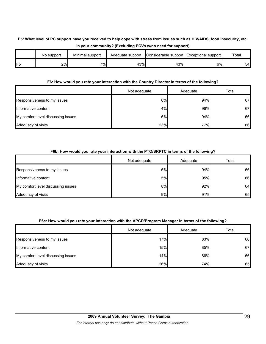# **F5: What level of PC support have you received to help cope with stress from issues such as HIV/AIDS, food insecurity, etc. in your community? (Excluding PCVs w/no need for support)**

|                | No support | Minimal support | Adequate support | Considerable support Exceptional support |    | Total |
|----------------|------------|-----------------|------------------|------------------------------------------|----|-------|
| F <sub>5</sub> | 2%l        | $7\%$           | 43%              | 43%                                      | 6% | 54    |

#### **F6: How would you rate your interaction with the Country Director in terms of the following?**

|                                    | Not adequate | Adequate | Total |
|------------------------------------|--------------|----------|-------|
| Responsiveness to my issues        | 6%           | 94%      | 67    |
| Informative content                | 4%           | 96%      | 67    |
| My comfort level discussing issues | 6%           | 94%      | 66    |
| Adequacy of visits                 | 23%          | 77%      | 66    |

## **F6b: How would you rate your interaction with the PTO/SRPTC in terms of the following?**

|                                    | Not adequate | Adequate | Total |
|------------------------------------|--------------|----------|-------|
| Responsiveness to my issues        | 6%           | 94%      | 66    |
| Informative content                | 5%           | 95%      | 66    |
| My comfort level discussing issues | 8%           | 92%      | 64    |
| Adequacy of visits                 | 9%           | 91%      | 65    |

## **F6c: How would you rate your interaction with the APCD/Program Manager in terms of the following?**

|                                    | Not adequate | Adequate | Total |
|------------------------------------|--------------|----------|-------|
| Responsiveness to my issues        | 17%          | 83%      | 66    |
| Informative content                | 15%          | 85%      | 67    |
| My comfort level discussing issues | 14%          | 86%      | 66    |
| Adequacy of visits                 | 26%          | 74%      | 65    |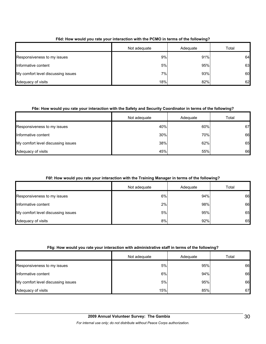|                                    | Not adequate | Adequate | Total |
|------------------------------------|--------------|----------|-------|
| Responsiveness to my issues        | 9%           | 91%      | 64    |
| Informative content                | 5%           | 95%      | 63    |
| My comfort level discussing issues | 7%           | 93%      | 60    |
| Adequacy of visits                 | 18%          | 82%      | 62    |

## **F6d: How would you rate your interaction with the PCMO in terms of the following?**

## **F6e: How would you rate your interaction with the Safety and Security Coordinator in terms of the following?**

|                                    | Not adequate | Adequate | Total |
|------------------------------------|--------------|----------|-------|
| Responsiveness to my issues        | 40%          | 60%      | 67    |
| Informative content                | 30%          | 70%      | 66    |
| My comfort level discussing issues | 38%          | 62%      | 65    |
| Adequacy of visits                 | 45%          | 55%      | 66    |

# **F6f: How would you rate your interaction with the Training Manager in terms of the following?**

|                                    | Not adequate | Adequate | Total |
|------------------------------------|--------------|----------|-------|
| Responsiveness to my issues        | 6%           | 94%      | 66    |
| Informative content                | 2%           | 98%      | 66    |
| My comfort level discussing issues | 5%           | 95%      | 65    |
| Adequacy of visits                 | 8%           | 92%      | 65    |

## **F6g: How would you rate your interaction with administrative staff in terms of the following?**

|                                    | Not adequate | Adequate | Total |
|------------------------------------|--------------|----------|-------|
| Responsiveness to my issues        | 5%           | 95%      | 66    |
| Informative content                | 6%           | 94%      | 66    |
| My comfort level discussing issues | 5%           | 95%      | 66    |
| Adequacy of visits                 | 15%          | 85%      | 67    |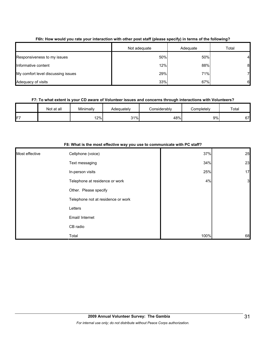|                                    | Not adequate | Adequate | Total |
|------------------------------------|--------------|----------|-------|
| Responsiveness to my issues        | 50%          | 50%      | 4     |
| Informative content                | 12%          | 88%      | 8     |
| My comfort level discussing issues | 29%          | 71%      |       |
| Adequacy of visits                 | 33%          | 67%      | 61    |

## **F6h: How would you rate your interaction with other post staff (please specify) in terms of the following?**

## **F7: To what extent is your CD aware of Volunteer issues and concerns through interactions with Volunteers?**

|                 | Not at all | Minimally | Adequately | Considerablv | Completely | Total          |
|-----------------|------------|-----------|------------|--------------|------------|----------------|
| IF <sub>7</sub> |            | 2%        | 31%        | 48%          | 9%         | $\sim$<br>07 I |

|                | of matrix to the moot oncourte may you accred communicate mum- |      |                |
|----------------|----------------------------------------------------------------|------|----------------|
| Most effective | Cellphone (voice)                                              | 37%  | 25             |
|                | Text messaging                                                 | 34%  | 23             |
|                | In-person visits                                               | 25%  | 17             |
|                | Telephone at residence or work                                 | 4%   | $\overline{3}$ |
|                | Other. Please specify                                          |      |                |
|                | Telephone not at residence or work                             |      |                |
|                | Letters                                                        |      |                |
|                | Email/ Internet                                                |      |                |
|                | CB radio                                                       |      |                |
|                | Total                                                          | 100% | 68             |

#### **F8: What is the most effective way you use to communicate with PC staff?**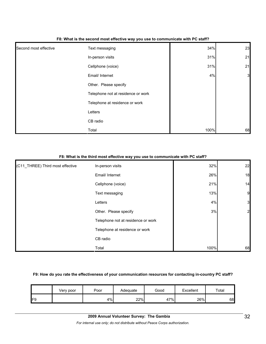| Second most effective | Text messaging                     | 34%  | 23             |
|-----------------------|------------------------------------|------|----------------|
|                       | In-person visits                   | 31%  | 21             |
|                       | Cellphone (voice)                  | 31%  | 21             |
|                       | Email/ Internet                    | 4%   | $\overline{3}$ |
|                       | Other. Please specify              |      |                |
|                       | Telephone not at residence or work |      |                |
|                       | Telephone at residence or work     |      |                |
|                       | Letters                            |      |                |
|                       | CB radio                           |      |                |
|                       | Total                              | 100% | 68             |

#### **F8: What is the second most effective way you use to communicate with PC staff?**

#### **F8: What is the third most effective way you use to communicate with PC staff?**

| (C11_THREE) Third most effective | In-person visits                   | 32%  | 22             |
|----------------------------------|------------------------------------|------|----------------|
|                                  | Email/ Internet                    | 26%  | 18             |
|                                  | Cellphone (voice)                  | 21%  | 14             |
|                                  | Text messaging                     | 13%  | 9              |
|                                  | Letters                            | 4%   | $\mathbf{3}$   |
|                                  | Other. Please specify              | 3%   | $\overline{2}$ |
|                                  | Telephone not at residence or work |      |                |
|                                  | Telephone at residence or work     |      |                |
|                                  | CB radio                           |      |                |
|                                  | Total                              | 100% | 68             |

#### **F9: How do you rate the effectiveness of your communication resources for contacting in-country PC staff?**

|     | Very poor | Poor | Adequate | Good | Excellent | Total |
|-----|-----------|------|----------|------|-----------|-------|
| IF9 |           | 4%   | 22%      | 47%  | 26%       | 68    |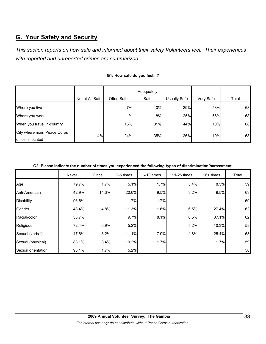# **G. Your Safety and Security**

*This section reports on how safe and informed about their safety Volunteers feel. Their experiences with reported and unreported crimes are summarized* 

|                                                  |                 |            | Adequately |              |           |       |
|--------------------------------------------------|-----------------|------------|------------|--------------|-----------|-------|
|                                                  | Not at All Safe | Often Safe | Safe       | Usually Safe | Very Safe | Total |
| Where you live                                   |                 | 7%         | 10%        | 29%          | 53%       | 68    |
| Where you work                                   |                 | 1%         | 18%        | 25%          | 56%       | 68    |
| When you travel in-country                       |                 | 15%        | 31%        | 44%          | 10%       | 68    |
| City where main Peace Corps<br>office is located | 4%              | 24%        | 35%        | 26%          | 10%       | 68    |

#### **G1: How safe do you feel...?**

**G2: Please indicate the number of times you experienced the following types of discrimination/harassment.**

|                    | Never | Once  | 2-5 times | 6-10 times | 11-25 times | $26+$ times | Total |
|--------------------|-------|-------|-----------|------------|-------------|-------------|-------|
| Age                | 79.7% | 1.7%  | 5.1%      | 1.7%       | 3.4%        | 8.5%        | 59    |
| Anti-American      | 42.9% | 14.3% | 20.6%     | 9.5%       | 3.2%        | 9.5%        | 63    |
| <b>Disability</b>  | 96.6% |       | 1.7%      | 1.7%       |             |             | 59    |
| Gender             | 48.4% | 4.8%  | 11.3%     | 1.6%       | 6.5%        | 27.4%       | 62    |
| Racial/color       | 38.7% |       | 9.7%      | 8.1%       | 6.5%        | 37.1%       | 62    |
| Religious          | 72.4% | 6.9%  | 5.2%      |            | 5.2%        | 10.3%       | 58    |
| Sexual (verbal)    | 47.6% | 3.2%  | 11.1%     | 7.9%       | 4.8%        | 25.4%       | 63    |
| Sexual (physical)  | 83.1% | 3.4%  | 10.2%     | 1.7%       |             | 1.7%        | 59    |
| Sexual orientation | 93.1% | 1.7%  | 5.2%      |            |             |             | 58    |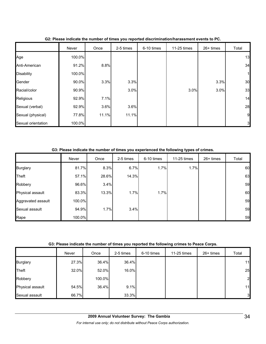|                    | Never  | Once  | 2-5 times | 6-10 times | 11-25 times | 26+ times | Total          |
|--------------------|--------|-------|-----------|------------|-------------|-----------|----------------|
| Age                | 100.0% |       |           |            |             |           | 13             |
| Anti-American      | 91.2%  | 8.8%  |           |            |             |           | 34             |
| <b>Disability</b>  | 100.0% |       |           |            |             |           |                |
| Gender             | 90.0%  | 3.3%  | 3.3%      |            |             | 3.3%      | 30             |
| Racial/color       | 90.9%  |       | 3.0%      |            | 3.0%        | 3.0%      | 33             |
| Religious          | 92.9%  | 7.1%  |           |            |             |           | 14             |
| Sexual (verbal)    | 92.9%  | 3.6%  | 3.6%      |            |             |           | 28             |
| Sexual (physical)  | 77.8%  | 11.1% | 11.1%     |            |             |           | 9              |
| Sexual orientation | 100.0% |       |           |            |             |           | 3 <sub>l</sub> |

**G2: Please indicate the number of times you reported discrimination/harassment events to PC.**

| G3: Please indicate the number of times you experienced the following types of crimes. |  |  |
|----------------------------------------------------------------------------------------|--|--|
|----------------------------------------------------------------------------------------|--|--|

|                    | Never  | Once  | 2-5 times | 6-10 times | 11-25 times | $26+$ times | Total |
|--------------------|--------|-------|-----------|------------|-------------|-------------|-------|
| <b>Burglary</b>    | 81.7%  | 8.3%  | 6.7%      | 1.7%       | 1.7%        |             | 60    |
| <b>Theft</b>       | 57.1%  | 28.6% | 14.3%     |            |             |             | 63    |
| Robbery            | 96.6%  | 3.4%  |           |            |             |             | 59    |
| Physical assault   | 83.3%  | 13.3% | 1.7%      | 1.7%       |             |             | 60    |
| Aggravated assault | 100.0% |       |           |            |             |             | 59    |
| Sexual assault     | 94.9%  | 1.7%  | 3.4%      |            |             |             | 59    |
| Rape               | 100.0% |       |           |            |             |             | 59    |

**G3: Please indicate the number of times you reported the following crimes to Peace Corps.**

|                  | Never | Once   | 2-5 times | 6-10 times | 11-25 times | $26+$ times | Total          |
|------------------|-------|--------|-----------|------------|-------------|-------------|----------------|
| <b>Burglary</b>  | 27.3% | 36.4%  | 36.4%     |            |             |             | 11             |
| Theft            | 32.0% | 52.0%  | 16.0%     |            |             |             | 25             |
| Robbery          |       | 100.0% |           |            |             |             | $\overline{2}$ |
| Physical assault | 54.5% | 36.4%  | 9.1%      |            |             |             | 11             |
| Sexual assault   | 66.7% |        | 33.3%     |            |             |             | $3 \,$         |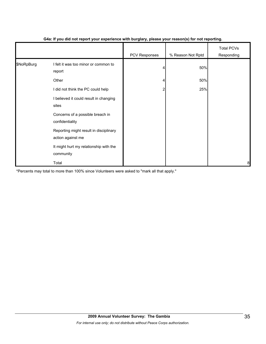|            |                                                             | .             | $\mathbf{v}$      |                                 |
|------------|-------------------------------------------------------------|---------------|-------------------|---------------------------------|
|            |                                                             | PCV Responses | % Reason Not Rptd | <b>Total PCVs</b><br>Responding |
| \$NoRpBurg | I felt it was too minor or common to<br>report              |               | 50%               |                                 |
|            | Other                                                       |               | 50%               |                                 |
|            | I did not think the PC could help                           | 2             | 25%               |                                 |
|            | I believed it could result in changing<br>sites             |               |                   |                                 |
|            | Concerns of a possible breach in<br>confidentiality         |               |                   |                                 |
|            | Reporting might result in disciplinary<br>action against me |               |                   |                                 |
|            | It might hurt my relationship with the<br>community         |               |                   |                                 |
|            | Total                                                       |               |                   | 8                               |

### **G4a: If you did not report your experience with burglary, please your reason(s) for not reporting.**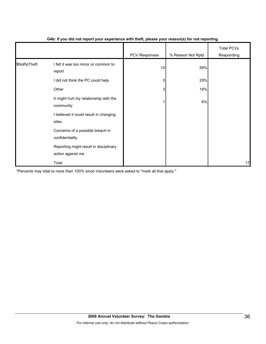|             |                                                             | - 1           | $\mathbf{v}$      |                                 |
|-------------|-------------------------------------------------------------|---------------|-------------------|---------------------------------|
|             |                                                             | PCV Responses | % Reason Not Rptd | <b>Total PCVs</b><br>Responding |
| \$NoRpTheft | I felt it was too minor or common to<br>report              | 10            | 59%               |                                 |
|             | I did not think the PC could help                           | 5             | 29%               |                                 |
|             | Other                                                       | 3             | 18%               |                                 |
|             | It might hurt my relationship with the<br>community         |               | 6%                |                                 |
|             | I believed it could result in changing<br>sites             |               |                   |                                 |
|             | Concerns of a possible breach in<br>confidentiality         |               |                   |                                 |
|             | Reporting might result in disciplinary<br>action against me |               |                   |                                 |
|             | Total                                                       |               |                   | 17                              |

#### **G4b: If you did not report your experience with theft, please your reason(s) for not reporting.**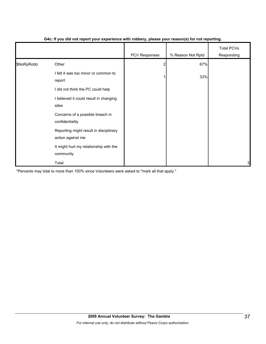|            |                                                             | PCV Responses | % Reason Not Rptd | <b>Total PCVs</b><br>Responding |
|------------|-------------------------------------------------------------|---------------|-------------------|---------------------------------|
| \$NoRpRobb | Other                                                       |               | 67%               |                                 |
|            | I felt it was too minor or common to<br>report              |               | 33%               |                                 |
|            | I did not think the PC could help                           |               |                   |                                 |
|            | I believed it could result in changing<br>sites             |               |                   |                                 |
|            | Concerns of a possible breach in<br>confidentiality         |               |                   |                                 |
|            | Reporting might result in disciplinary<br>action against me |               |                   |                                 |
|            | It might hurt my relationship with the<br>community         |               |                   |                                 |
|            | Total                                                       |               |                   | 3                               |

#### **G4c: If you did not report your experience with robbery, please your reason(s) for not reporting.**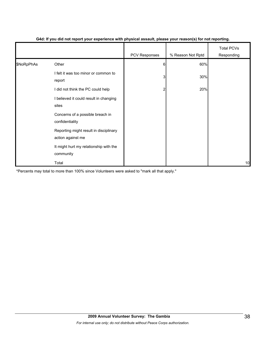|            |                                                             | PCV Responses | % Reason Not Rptd | <b>Total PCVs</b><br>Responding |
|------------|-------------------------------------------------------------|---------------|-------------------|---------------------------------|
| \$NoRpPhAs | Other                                                       | 6             | 60%               |                                 |
|            | I felt it was too minor or common to<br>report              | 3             | 30%               |                                 |
|            | I did not think the PC could help                           | 2             | 20%               |                                 |
|            | I believed it could result in changing<br>sites             |               |                   |                                 |
|            | Concerns of a possible breach in<br>confidentiality         |               |                   |                                 |
|            | Reporting might result in disciplinary<br>action against me |               |                   |                                 |
|            | It might hurt my relationship with the<br>community         |               |                   |                                 |
|            | Total                                                       |               |                   | 10                              |

#### **G4d: If you did not report your experience with physical assault, please your reason(s) for not reporting.**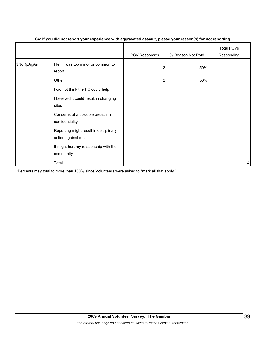|            |                                                             | ັ<br>- 1      | $\mathbf{v}$      |                                 |
|------------|-------------------------------------------------------------|---------------|-------------------|---------------------------------|
|            |                                                             | PCV Responses | % Reason Not Rptd | <b>Total PCVs</b><br>Responding |
| \$NoRpAgAs | I felt it was too minor or common to<br>report              | 2             | 50%               |                                 |
|            | Other                                                       | 2             | 50%               |                                 |
|            | I did not think the PC could help                           |               |                   |                                 |
|            | I believed it could result in changing<br>sites             |               |                   |                                 |
|            | Concerns of a possible breach in<br>confidentiality         |               |                   |                                 |
|            | Reporting might result in disciplinary<br>action against me |               |                   |                                 |
|            | It might hurt my relationship with the<br>community         |               |                   |                                 |
|            | Total                                                       |               |                   | 4                               |

#### **G4: If you did not report your experience with aggravated assault, please your reason(s) for not reporting.**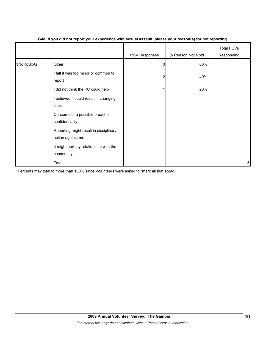|            |                                                             | PCV Responses | % Reason Not Rptd | <b>Total PCVs</b><br>Responding |
|------------|-------------------------------------------------------------|---------------|-------------------|---------------------------------|
| \$NoRpSxAs | Other                                                       | 3             | 60%               |                                 |
|            | I felt it was too minor or common to<br>report              | 2             | 40%               |                                 |
|            | I did not think the PC could help                           |               | 20%               |                                 |
|            | I believed it could result in changing<br>sites             |               |                   |                                 |
|            | Concerns of a possible breach in<br>confidentiality         |               |                   |                                 |
|            | Reporting might result in disciplinary<br>action against me |               |                   |                                 |
|            | It might hurt my relationship with the<br>community         |               |                   |                                 |
|            | Total                                                       |               |                   | 5                               |

#### **G4e: If you did not report your experience with sexual assault, please your reason(s) for not reporting.**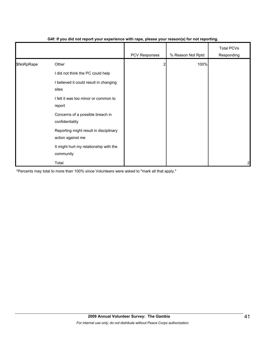|            |                                                             | $\mathbf{r}$  | $\mathbf{v}$      |                                 |
|------------|-------------------------------------------------------------|---------------|-------------------|---------------------------------|
|            |                                                             | PCV Responses | % Reason Not Rptd | <b>Total PCVs</b><br>Responding |
| \$NoRpRape | Other                                                       |               | 100%              |                                 |
|            | I did not think the PC could help                           |               |                   |                                 |
|            | I believed it could result in changing<br>sites             |               |                   |                                 |
|            | I felt it was too minor or common to<br>report              |               |                   |                                 |
|            | Concerns of a possible breach in<br>confidentiality         |               |                   |                                 |
|            | Reporting might result in disciplinary<br>action against me |               |                   |                                 |
|            | It might hurt my relationship with the<br>community         |               |                   |                                 |
|            | Total                                                       |               |                   | $\overline{c}$                  |

#### **G4f: If you did not report your experience with rape, please your reason(s) for not reporting.**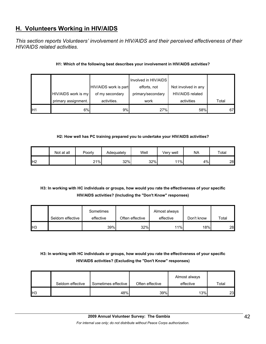# **H. Volunteers Working in HIV/AIDS**

*This section reports Volunteers' involvement in HIV/AIDS and their perceived effectiveness of their HIV/AIDS related activities.* 

## **H1: Which of the following best describes your involvement in HIV/AIDS activities?**

|    |                     |                       | Involved in HIV/AIDS |                     |       |
|----|---------------------|-----------------------|----------------------|---------------------|-------|
|    |                     | HIV/AIDS work is part | efforts, not         | Not involved in any |       |
|    | HIV/AIDS work is my | of my secondary       | primary/secondary    | HIV/AIDS related    |       |
|    | primary assignment. | activities.           | work                 | activities          | Total |
| H1 | 6%                  | 9%                    | 27%                  | 58%                 | 67    |

## **H2: How well has PC training prepared you to undertake your HIV/AIDS activities?**

|                | Not at all | Poorly | Adequately | Well | Verv well | NA | Total |
|----------------|------------|--------|------------|------|-----------|----|-------|
| H <sub>2</sub> |            | 21%    | 32%        | 32%  | 11%       | 4% | 28    |

# **H3: In working with HC individuals or groups, how would you rate the effectiveness of your specific HIV/AIDS activities? (Including the "Don't Know" responses)**

|                 |                  | Sometimes |                 | Almost always |            |       |
|-----------------|------------------|-----------|-----------------|---------------|------------|-------|
|                 | Seldom effective | effective | Often effective | effective     | Don't know | Total |
| IH <sub>3</sub> |                  | 39%       | 32%             | 11%           | 18%        | 28    |

# **H3: In working with HC individuals or groups, how would you rate the effectiveness of your specific HIV/AIDS activities? (Excluding the "Don't Know" responses)**

|            | Seldom effective | Sometimes effective | Often effective | Almost always<br>effective | $\tau$ otal |
|------------|------------------|---------------------|-----------------|----------------------------|-------------|
| <b>IH3</b> |                  | 48%                 | 39%             | 13%                        | 23          |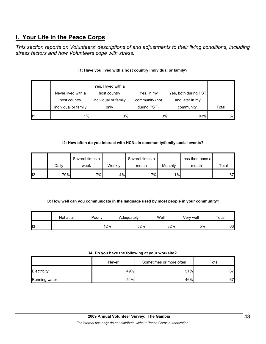# **I. Your Life in the Peace Corps**

*This section reports on Volunteers' descriptions of and adjustments to their living conditions, including stress factors and how Volunteers cope with stress.* 

|              | Never lived with a<br>host country | Yes, I lived with a<br>host country<br>individual or family | Yes, in my<br>community (not | Yes, both during PST<br>and later in my |       |
|--------------|------------------------------------|-------------------------------------------------------------|------------------------------|-----------------------------------------|-------|
|              | individual or family               | only                                                        | during PST).                 | community.                              | Total |
| $\mathsf{I}$ | 1%                                 | 3%                                                          | 3%                           | 93%                                     | 67    |

# **I1: Have you lived with a host country individual or family?**

## **I2: How often do you interact with HCNs in community/family social events?**

|    |       | Several times a |        | Several times a |         | Less than once a |       |
|----|-------|-----------------|--------|-----------------|---------|------------------|-------|
|    | Dailv | week            | Weeklv | month           | Monthly | month            | Total |
| 12 | 79%   | $7\%$           | 4%     | $7\%$           | 1%      |                  | 67    |

## **I3: How well can you communicate in the language used by most people in your community?**

|    | Not at all | Poorly | Adequately | Well | Verv well | Total |
|----|------------|--------|------------|------|-----------|-------|
| ШЗ |            | 12%    | 52%        | 32%  | 5%        | 66    |

#### **I4: Do you have the following at your worksite?**

|               | Never | Sometimes or more often | Total |  |
|---------------|-------|-------------------------|-------|--|
| Electricity   | 49%   | 51%                     | 67    |  |
| Running water | 54%   | 46%                     | 67    |  |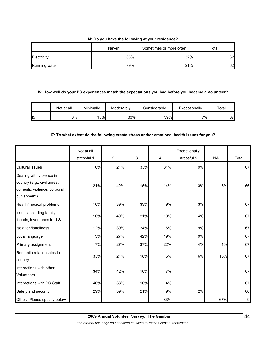#### **I4: Do you have the following at your residence?**

|               | Never | Sometimes or more often | Total |  |
|---------------|-------|-------------------------|-------|--|
| Electricity   | 68%   | 32%                     | 62    |  |
| Running water | 79%   | 21%                     | 62    |  |

#### **I5: How well do your PC experiences match the expectations you had before you became a Volunteer?**

|     | Not at all | Minimally | Moderately | Considerablv | Exceptionally | Total |
|-----|------------|-----------|------------|--------------|---------------|-------|
| 115 | 6%I        | 15%       | 33%        | 39%          | $7\%$         | 67    |

## **I7: To what extent do the following create stress and/or emotional health issues for you?**

|                                                                                                        | Not at all<br>stressful 1 | $\overline{2}$ | $\mathbf{3}$ | 4   | Exceptionally<br>stressful 5 | <b>NA</b> | Total |
|--------------------------------------------------------------------------------------------------------|---------------------------|----------------|--------------|-----|------------------------------|-----------|-------|
| <b>Cultural issues</b>                                                                                 | 6%                        | 21%            | 33%          | 31% | 9%                           |           | 67    |
| Dealing with violence in<br>country (e.g., civil unrest,<br>domestic violence, corporal<br>punishment) | 21%                       | 42%            | 15%          | 14% | 3%                           | 5%        | 66    |
| Health/medical problems                                                                                | 16%                       | 39%            | 33%          | 9%  | 3%                           |           | 67    |
| Issues including family,<br>friends, loved ones in U.S.                                                | 16%                       | 40%            | 21%          | 18% | 4%                           |           | 67    |
| Isolation/loneliness                                                                                   | 12%                       | 39%            | 24%          | 16% | 9%                           |           | 67    |
| Local language                                                                                         | 3%                        | 27%            | 42%          | 19% | 9%                           |           | 67    |
| Primary assignment                                                                                     | 7%                        | 27%            | 37%          | 22% | 4%                           | 1%        | 67    |
| Romantic relationships in-<br>country                                                                  | 33%                       | 21%            | 18%          | 6%  | 6%                           | 16%       | 67    |
| Interactions with other<br>Volunteers                                                                  | 34%                       | 42%            | 16%          | 7%  |                              |           | 67    |
| Interactions with PC Staff                                                                             | 46%                       | 33%            | 16%          | 4%  |                              |           | 67    |
| Safety and security                                                                                    | 29%                       | 39%            | 21%          | 9%  | 2%                           |           | 66    |
| Other: Please specify below                                                                            |                           |                |              | 33% |                              | 67%       | 9     |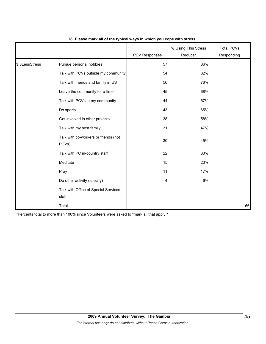|                |                                               | <b>PCV Responses</b> | % Using This Stress<br>Reducer | <b>Total PCVs</b><br>Responding |
|----------------|-----------------------------------------------|----------------------|--------------------------------|---------------------------------|
| \$18LessStress | Pursue personal hobbies                       | 57                   | 86%                            |                                 |
|                | Talk with PCVs outside my community           | 54                   | 82%                            |                                 |
|                | Talk with friends and family in US            | 50                   | 76%                            |                                 |
|                | Leave the community for a time                | 45                   | 68%                            |                                 |
|                | Talk with PCVs in my community                | 44                   | 67%                            |                                 |
|                | Do sports                                     | 43                   | 65%                            |                                 |
|                | Get involved in other projects                | 38                   | 58%                            |                                 |
|                | Talk with my host family                      | 31                   | 47%                            |                                 |
|                | Talk with co-workers or friends (not<br>PCVs) | 30                   | 45%                            |                                 |
|                | Talk with PC in-country staff                 | 22                   | 33%                            |                                 |
|                | Meditate                                      | 15                   | 23%                            |                                 |
|                | Pray                                          | 11                   | 17%                            |                                 |
|                | Do other activity (specify)                   | $\overline{a}$       | 6%                             |                                 |
|                | Talk with Office of Special Services<br>staff |                      |                                |                                 |
|                | Total                                         |                      |                                | 66                              |

#### **I8: Please mark all of the typical ways in which you cope with stress.**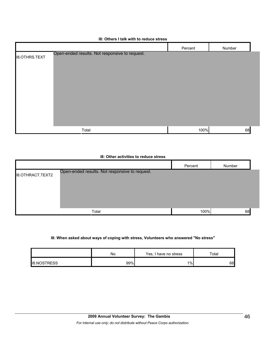|  |  |  |  |  | 18: Others I talk with to reduce stress |  |
|--|--|--|--|--|-----------------------------------------|--|
|--|--|--|--|--|-----------------------------------------|--|

|                                                                        | Percent | Number |
|------------------------------------------------------------------------|---------|--------|
| Open-ended results. Not responsive to request.<br><b>I8.OTHRS.TEXT</b> |         |        |
|                                                                        |         |        |
|                                                                        |         |        |
|                                                                        |         |        |
|                                                                        |         |        |
|                                                                        |         |        |
|                                                                        |         |        |
|                                                                        |         |        |
| Total                                                                  | 100%    | 68     |

## **I8: Other activities to reduce stress**

|                         |                                                | Percent | Number |  |
|-------------------------|------------------------------------------------|---------|--------|--|
| <b>I8.OTHRACT.TEXT2</b> | Open-ended results. Not responsive to request. |         |        |  |
|                         |                                                |         |        |  |
|                         | Total                                          | 100%    | 68     |  |

#### **I8: When asked about ways of coping with stress, Volunteers who answered "No stress"**

|                    | No  | Yes, I have no stress | $\tau$ otal |  |
|--------------------|-----|-----------------------|-------------|--|
| <b>IB.NOSTRESS</b> | 99% | $1\%$                 | 68          |  |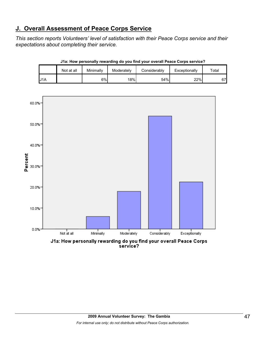# **J. Overall Assessment of Peace Corps Service**

*This section reports Volunteers' level of satisfaction with their Peace Corps service and their expectations about completing their service.* 

|     | Not at all | Minimally | Moderately | Considerablv | Exceptionally | $\tau$ otal |
|-----|------------|-----------|------------|--------------|---------------|-------------|
| J1A |            | 6%        | 18%        | 54%          | 22%           | 67          |



**J1a: How personally rewarding do you find your overall Peace Corps service?**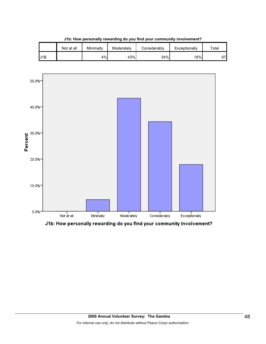

**J1b: How personally rewarding do you find your community involvement?**



J1b: How personally rewarding do you find your community involvement?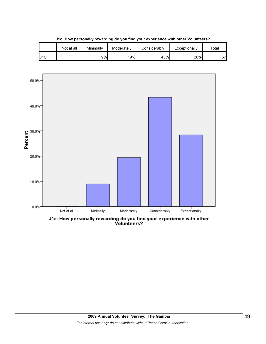



J1c: How personally rewarding do you find your experience with other<br>Volunteers?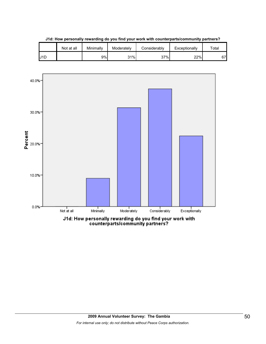

**J1d: How personally rewarding do you find your work with counterparts/community partners?**

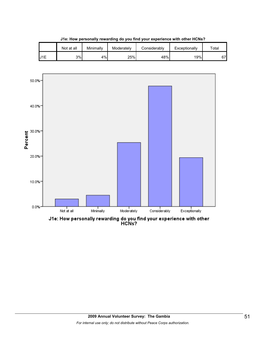

**J1e: How personally rewarding do you find your experience with other HCNs?**



J1e: How personally rewarding do you find your experience with other<br>HCNs?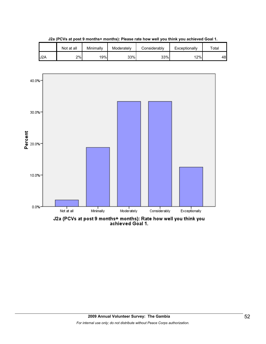





J2a (PCVs at post 9 months+ months): Rate how well you think you<br>achieved Goal 1.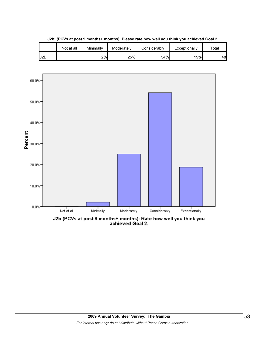

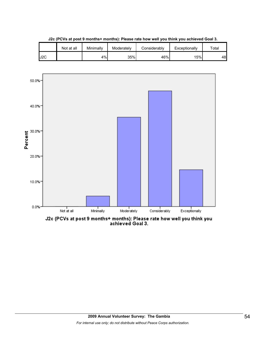

**J2c (PCVs at post 9 months+ months): Please rate how well you think you achieved Goal 3.**



J2c (PCVs at post 9 months+ months): Please rate how well you think you<br>achieved Goal 3.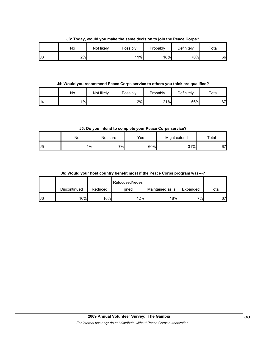|    | ___<br>.<br>No | Not likely | .<br>Possibly | Probably | -----<br>___<br>Definitely | $\tau$ otal |
|----|----------------|------------|---------------|----------|----------------------------|-------------|
| J3 | 2%             |            | 11%           | 18%      | 70%                        | 66          |

**J3: Today, would you make the same decision to join the Peace Corps?**

**J4: Would you recommend Peace Corps service to others you think are qualified?**

|     | No    | Not likely | <b>Possibly</b> | Probably | Definitely | Total |
|-----|-------|------------|-----------------|----------|------------|-------|
| .J4 | $1\%$ |            | 12%             | 21%      | 66%        | 67    |

**J5: Do you intend to complete your Peace Corps service?**

|                 | Nο    | Not sure | Yes | Might extend | Total |
|-----------------|-------|----------|-----|--------------|-------|
| $_{\text{LJ}5}$ | $1\%$ | 7%       | 60% | 31%          | 67    |

**J6: Would your host country benefit most if the Peace Corps program was---?**

|    |              |         | Refocused/redesi |                  |          |       |
|----|--------------|---------|------------------|------------------|----------|-------|
|    | Discontinued | Reduced | qned             | Maintained as is | Expanded | Total |
| J6 | 16%।         | 16%     | 42%              | 18%              | ו%ד      | 67'   |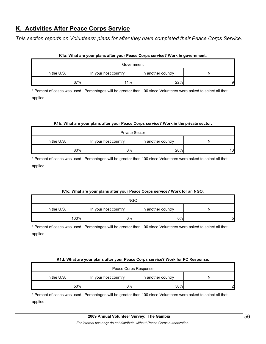# **K. Activities After Peace Corps Service**

*This section reports on Volunteers' plans for after they have completed their Peace Corps Service.* 

| Government    |                      |                    |   |  |  |  |
|---------------|----------------------|--------------------|---|--|--|--|
| In the $U.S.$ | In your host country | In another country |   |  |  |  |
| 67%           | 11%                  | 22%                | 9 |  |  |  |

#### **K1a: What are your plans after your Peace Corps service? Work in government.**

\* Percent of cases was used. Percentages will be greater than 100 since Volunteers were asked to select all that applied.

#### **K1b: What are your plans after your Peace Corps service? Work in the private sector.**

| <b>Private Sector</b>                                            |     |     |    |  |  |  |
|------------------------------------------------------------------|-----|-----|----|--|--|--|
| In the $U.S.$<br>In your host country<br>In another country<br>N |     |     |    |  |  |  |
| 80%                                                              | 0%l | 20% | 10 |  |  |  |

\* Percent of cases was used. Percentages will be greater than 100 since Volunteers were asked to select all that applied.

## **K1c: What are your plans after your Peace Corps service? Work for an NGO.**

| <b>NGO</b>  |                      |                    |   |  |  |  |
|-------------|----------------------|--------------------|---|--|--|--|
| In the U.S. | In your host country | In another country | N |  |  |  |
| 100%        | 0%l                  | 0%                 | 5 |  |  |  |

\* Percent of cases was used. Percentages will be greater than 100 since Volunteers were asked to select all that applied.

#### **K1d: What are your plans after your Peace Corps service? Work for PC Response.**

| Peace Corps Response                                           |    |     |   |  |  |
|----------------------------------------------------------------|----|-----|---|--|--|
| In the U.S.<br>In your host country<br>In another country<br>N |    |     |   |  |  |
| 50%                                                            | 0% | 50% | ົ |  |  |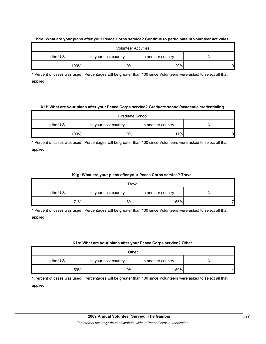| <b>Volunteer Activities</b> |                      |                    |    |  |  |  |  |
|-----------------------------|----------------------|--------------------|----|--|--|--|--|
| In the $U.S.$               | In your host country | In another country | N  |  |  |  |  |
| 100%                        | 0%l                  | 20%                | 10 |  |  |  |  |

#### **K1e: What are your plans after your Peace Corps service? Continue to participate in volunteer activities.**

\* Percent of cases was used. Percentages will be greater than 100 since Volunteers were asked to select all that applied.

#### **K1f: What are your plans after your Peace Corps service? Graduate school/academic credentialing.**

| Graduate School                                                |     |     |   |  |  |  |
|----------------------------------------------------------------|-----|-----|---|--|--|--|
| In the U.S.<br>In your host country<br>In another country<br>N |     |     |   |  |  |  |
| 100%                                                           | 0%l | 11% | 9 |  |  |  |

\* Percent of cases was used. Percentages will be greater than 100 since Volunteers were asked to select all that applied.

## **K1g: What are your plans after your Peace Corps service? Travel.**

| Travel                                                           |    |     |    |  |  |  |
|------------------------------------------------------------------|----|-----|----|--|--|--|
| In the $U.S.$<br>In your host country<br>In another country<br>N |    |     |    |  |  |  |
| 71%                                                              | 6% | 65% | 17 |  |  |  |

\* Percent of cases was used. Percentages will be greater than 100 since Volunteers were asked to select all that applied.

## **K1h: What are your plans after your Peace Corps service? Other.**

| Other                                                     |    |     |   |  |  |  |
|-----------------------------------------------------------|----|-----|---|--|--|--|
| In the U.S.<br>In your host country<br>In another country |    |     |   |  |  |  |
| 50%                                                       | 0% | 50% | 4 |  |  |  |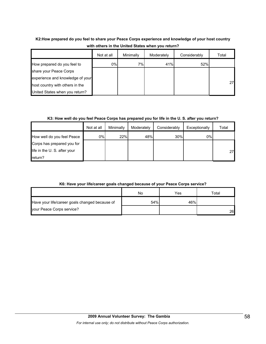# **K2:How prepared do you feel to share your Peace Corps experience and knowledge of your host country with others in the United States when you return?**

|                                  | Not at all | Minimally | Moderately | Considerably | Total |
|----------------------------------|------------|-----------|------------|--------------|-------|
| How prepared do you feel to      | 0%         | 7%        | 41%        | 52%          |       |
| share your Peace Corps           |            |           |            |              |       |
| experience and knowledge of your |            |           |            |              |       |
| host country with others in the  |            |           |            |              | 27    |
| United States when you return?   |            |           |            |              |       |

## **K3: How well do you feel Peace Corps has prepared you for life in the U. S. after you return?**

|                             | Not at all | Minimally | Moderately | Considerably | Exceptionally | Total |
|-----------------------------|------------|-----------|------------|--------------|---------------|-------|
| How well do you feel Peace  | $0\%$      | 22%       | 48%        | 30%          | 0%            |       |
| Corps has prepared you for  |            |           |            |              |               |       |
| life in the U.S. after your |            |           |            |              |               | 27    |
| return?                     |            |           |            |              |               |       |

# **K6: Have your life/career goals changed because of your Peace Corps service?**

|                                                | No  | Yes | $\tau$ otal |
|------------------------------------------------|-----|-----|-------------|
| Have your life/career goals changed because of | 54% | 46% |             |
| your Peace Corps service?                      |     |     | 26          |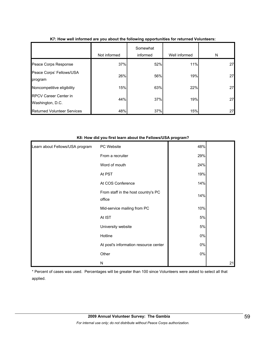|                                           | Not informed | Somewhat<br>informed | Well informed | N  |
|-------------------------------------------|--------------|----------------------|---------------|----|
| Peace Corps Response                      | 37%          | 52%                  | 11%           | 27 |
| Peace Corps' Fellows/USA<br>program       | 26%          | 56%                  | 19%           | 27 |
| Noncompetitive eligibility                | 15%          | 63%                  | 22%           | 27 |
| RPCV Career Center in<br>Washington, D.C. | 44%          | 37%                  | 19%           | 27 |
| <b>Returned Volunteer Services</b>        | 48%          | 37%                  | 15%           | 27 |

### **K7: How well informed are you about the following opportunities for returned Volunteers:**

#### **K8: How did you first learn about the Fellows/USA program?**

| Learn about Fellows/USA program | PC Website                                    | 48%   |    |
|---------------------------------|-----------------------------------------------|-------|----|
|                                 | From a recruiter                              | 29%   |    |
|                                 | Word of mouth                                 | 24%   |    |
|                                 | At PST                                        | 19%   |    |
|                                 | At COS Conference                             | 14%   |    |
|                                 | From staff in the host country's PC<br>office | 14%   |    |
|                                 | Mid-service mailing from PC                   | 10%   |    |
|                                 | At IST                                        | $5%$  |    |
|                                 | University website                            | 5%    |    |
|                                 | Hotline                                       | $0\%$ |    |
|                                 | At post's information resource center         | $0\%$ |    |
|                                 | Other                                         | $0\%$ |    |
|                                 | N                                             |       | 21 |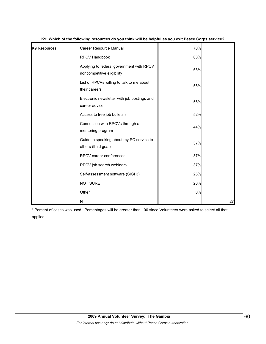| K9 Resources | Career Resource Manual                                                 | 70% |    |
|--------------|------------------------------------------------------------------------|-----|----|
|              | RPCV Handbook                                                          | 63% |    |
|              | Applying to federal government with RPCV<br>noncompetitive eligibility | 63% |    |
|              | List of RPCVs willing to talk to me about<br>their careers             | 56% |    |
|              | Electronic newsletter with job postings and<br>career advice           | 56% |    |
|              | Access to free job bulletins                                           | 52% |    |
|              | Connection with RPCVs through a<br>mentoring program                   | 44% |    |
|              | Guide to speaking about my PC service to<br>others (third goal)        | 37% |    |
|              | RPCV career conferences                                                | 37% |    |
|              | RPCV job search webinars                                               | 37% |    |
|              | Self-assessment software (SIGI 3)                                      | 26% |    |
|              | <b>NOT SURE</b>                                                        | 26% |    |
|              | Other                                                                  | 0%  |    |
|              | N                                                                      |     | 27 |

| K9: Which of the following resources do you think will be helpful as you exit Peace Corps service? |  |  |  |
|----------------------------------------------------------------------------------------------------|--|--|--|
|                                                                                                    |  |  |  |